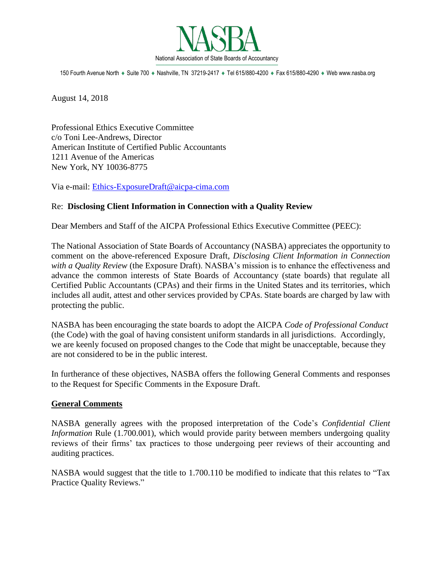

150 Fourth Avenue North · Suite 700 · Nashville, TN 37219-2417 · Tel 615/880-4200 · Fax 615/880-4290 · Web www.nasba.org

August 14, 2018

Professional Ethics Executive Committee c/o Toni Lee-Andrews, Director American Institute of Certified Public Accountants 1211 Avenue of the Americas New York, NY 10036-8775

Via e-mail: [Ethics-ExposureDraft@aicpa-cima.com](mailto:Ethics-ExposureDraft@aicpa-cima.com)

## Re: **Disclosing Client Information in Connection with a Quality Review**

Dear Members and Staff of the AICPA Professional Ethics Executive Committee (PEEC):

The National Association of State Boards of Accountancy (NASBA) appreciates the opportunity to comment on the above-referenced Exposure Draft, *Disclosing Client Information in Connection with a Quality Review* (the Exposure Draft). NASBA's mission is to enhance the effectiveness and advance the common interests of State Boards of Accountancy (state boards) that regulate all Certified Public Accountants (CPAs) and their firms in the United States and its territories, which includes all audit, attest and other services provided by CPAs. State boards are charged by law with protecting the public.

NASBA has been encouraging the state boards to adopt the AICPA *Code of Professional Conduct* (the Code) with the goal of having consistent uniform standards in all jurisdictions. Accordingly, we are keenly focused on proposed changes to the Code that might be unacceptable, because they are not considered to be in the public interest.

In furtherance of these objectives, NASBA offers the following General Comments and responses to the Request for Specific Comments in the Exposure Draft.

## **General Comments**

NASBA generally agrees with the proposed interpretation of the Code's *Confidential Client Information* Rule (1.700.001), which would provide parity between members undergoing quality reviews of their firms' tax practices to those undergoing peer reviews of their accounting and auditing practices.

NASBA would suggest that the title to 1.700.110 be modified to indicate that this relates to "Tax Practice Quality Reviews."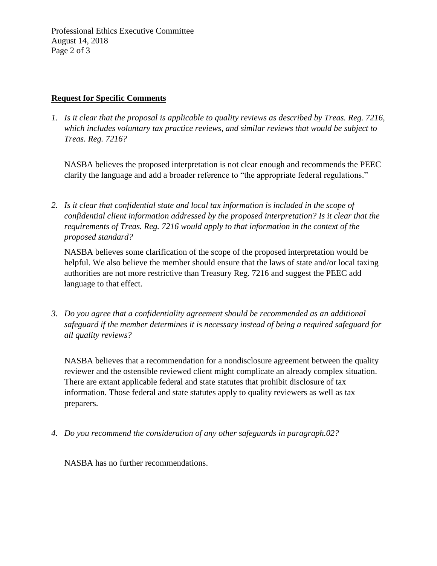Professional Ethics Executive Committee August 14, 2018 Page 2 of 3

## **Request for Specific Comments**

*1. Is it clear that the proposal is applicable to quality reviews as described by Treas. Reg. 7216, which includes voluntary tax practice reviews, and similar reviews that would be subject to Treas. Reg. 7216?*

NASBA believes the proposed interpretation is not clear enough and recommends the PEEC clarify the language and add a broader reference to "the appropriate federal regulations."

*2. Is it clear that confidential state and local tax information is included in the scope of confidential client information addressed by the proposed interpretation? Is it clear that the requirements of Treas. Reg. 7216 would apply to that information in the context of the proposed standard?*

NASBA believes some clarification of the scope of the proposed interpretation would be helpful. We also believe the member should ensure that the laws of state and/or local taxing authorities are not more restrictive than Treasury Reg. 7216 and suggest the PEEC add language to that effect.

*3. Do you agree that a confidentiality agreement should be recommended as an additional safeguard if the member determines it is necessary instead of being a required safeguard for all quality reviews?*

NASBA believes that a recommendation for a nondisclosure agreement between the quality reviewer and the ostensible reviewed client might complicate an already complex situation. There are extant applicable federal and state statutes that prohibit disclosure of tax information. Those federal and state statutes apply to quality reviewers as well as tax preparers.

*4. Do you recommend the consideration of any other safeguards in paragraph.02?*

NASBA has no further recommendations.